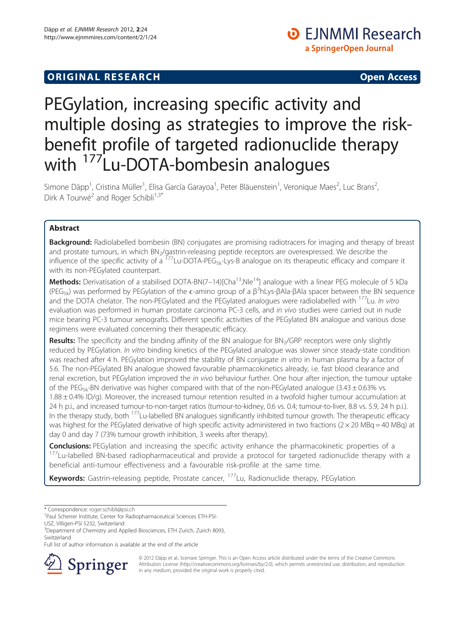# PEGylation, increasing specific activity and multiple dosing as strategies to improve the riskbenefit profile of targeted radionuclide therapy with <sup>177</sup>Lu-DOTA-bombesin analogues

Simone Däpp<sup>1</sup>, Cristina Müller<sup>1</sup>, Elisa García Garayoa<sup>1</sup>, Peter Bläuenstein<sup>1</sup>, Veronique Maes<sup>2</sup>, Luc Brans<sup>2</sup> , Dirk A Tourwé<sup>2</sup> and Roger Schibli<sup>1,3\*</sup>

# Abstract

Background: Radiolabelled bombesin (BN) conjugates are promising radiotracers for imaging and therapy of breast and prostate tumours, in which BN<sub>2</sub>/gastrin-releasing peptide receptors are overexpressed. We describe the influence of the specific activity of a  $^{177}$ Lu-DOTA-PEG<sub>5k-L</sub>ys-B analogue on its therapeutic efficacy and compare it with its non-PEGylated counterpart.

Methods: Derivatisation of a stabilised DOTA-BN(7-14)[Cha<sup>13</sup>,Nle<sup>14</sup>] analogue with a linear PEG molecule of 5 kDa (PEG<sub>5k</sub>) was performed by PEGylation of the  $\epsilon$ -amino group of a β<sup>3</sup>hLys-βAla-βAla spacer between the BN sequence and the DOTA chelator. The non-PEGylated and the PEGylated analogues were radiolabelled with <sup>177</sup>Lu. In vitro evaluation was performed in human prostate carcinoma PC-3 cells, and in vivo studies were carried out in nude mice bearing PC-3 tumour xenografts. Different specific activities of the PEGylated BN analogue and various dose regimens were evaluated concerning their therapeutic efficacy.

Results: The specificity and the binding affinity of the BN analogue for BN<sub>2</sub>/GRP receptors were only slightly reduced by PEGylation. In vitro binding kinetics of the PEGylated analogue was slower since steady-state condition was reached after 4 h. PEGylation improved the stability of BN conjugate in vitro in human plasma by a factor of 5.6. The non-PEGylated BN analogue showed favourable pharmacokinetics already, i.e. fast blood clearance and renal excretion, but PEGylation improved the in vivo behaviour further. One hour after injection, the tumour uptake of the PEG<sub>5k</sub>-BN derivative was higher compared with that of the non-PEGylated analogue (3.43  $\pm$  0.63% vs. 1.88 ± 0.4% ID/g). Moreover, the increased tumour retention resulted in a twofold higher tumour accumulation at 24 h p.i., and increased tumour-to-non-target ratios (tumour-to-kidney, 0.6 vs. 0.4; tumour-to-liver, 8.8 vs. 5.9, 24 h p.i.). In the therapy study, both <sup>177</sup>Lu-labelled BN analogues significantly inhibited tumour growth. The therapeutic efficacy was highest for the PEGylated derivative of high specific activity administered in two fractions ( $2 \times 20$  MBq = 40 MBq) at day 0 and day 7 (73% tumour growth inhibition, 3 weeks after therapy).

**Conclusions:** PEGylation and increasing the specific activity enhance the pharmacokinetic properties of a 177Lu-labelled BN-based radiopharmaceutical and provide a protocol for targeted radionuclide therapy with a beneficial anti-tumour effectiveness and a favourable risk-profile at the same time.

Keywords: Gastrin-releasing peptide, Prostate cancer, <sup>177</sup>Lu, Radionuclide therapy, PEGylation

\* Correspondence: [roger.schibli@psi.ch](mailto:roger.schibli@psi.ch) <sup>1</sup>

3 Department of Chemistry and Applied Biosciences, ETH Zurich, Zurich 8093,

Full list of author information is available at the end of the article



© 2012 Däpp et al.; licensee Springer. This is an Open Access article distributed under the terms of the Creative Commons Attribution License [\(http://creativecommons.org/licenses/by/2.0\)](http://creativecommons.org/licenses/by/2.0), which permits unrestricted use, distribution, and reproduction in any medium, provided the original work is properly cited.

<sup>&</sup>lt;sup>1</sup>Paul Scherrer Institute, Center for Radiopharmaceutical Sciences ETH-PSI-USZ, Villigen-PSI 5232, Switzerland

Switzerland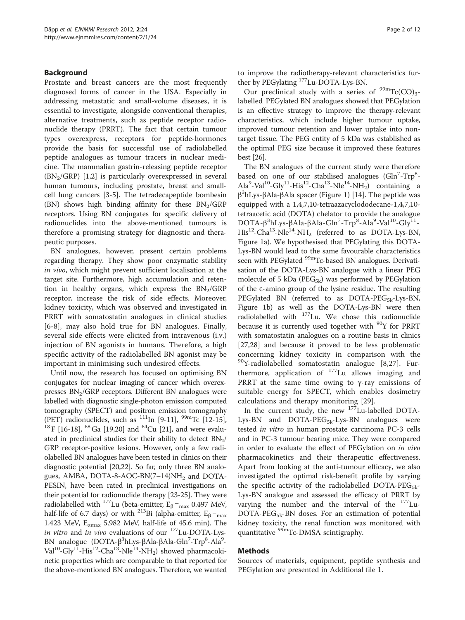# Background

Prostate and breast cancers are the most frequently diagnosed forms of cancer in the USA. Especially in addressing metastatic and small-volume diseases, it is essential to investigate, alongside conventional therapies, alternative treatments, such as peptide receptor radionuclide therapy (PRRT). The fact that certain tumour types overexpress, receptors for peptide-hormones provide the basis for successful use of radiolabelled peptide analogues as tumour tracers in nuclear medicine. The mammalian gastrin-releasing peptide receptor  $(BN<sub>2</sub>/GRP)$  [[1](#page-10-0),[2\]](#page-10-0) is particularly overexpressed in several human tumours, including prostate, breast and smallcell lung cancers [\[3](#page-10-0)-[5\]](#page-10-0). The tetradecapeptide bombesin (BN) shows high binding affinity for these  $BN<sub>2</sub>/GRP$ receptors. Using BN conjugates for specific delivery of radionuclides into the above-mentioned tumours is therefore a promising strategy for diagnostic and therapeutic purposes.

BN analogues, however, present certain problems regarding therapy. They show poor enzymatic stability in vivo, which might prevent sufficient localisation at the target site. Furthermore, high accumulation and retention in healthy organs, which express the  $BN<sub>2</sub>/GRP$ receptor, increase the risk of side effects. Moreover, kidney toxicity, which was observed and investigated in PRRT with somatostatin analogues in clinical studies [[6-8\]](#page-10-0), may also hold true for BN analogues. Finally, several side effects were elicited from intravenous (i.v.) injection of BN agonists in humans. Therefore, a high specific activity of the radiolabelled BN agonist may be important in minimising such undesired effects.

Until now, the research has focused on optimising BN conjugates for nuclear imaging of cancer which overexpresses  $BN<sub>2</sub>/GRP$  receptors. Different BN analogues were labelled with diagnostic single-photon emission computed tomography (SPECT) and positron emission tomography (PET) radionuclides, such as <sup>111</sup>In [\[9](#page-10-0)-[11](#page-10-0)], <sup>99m</sup>Tc [[12](#page-10-0)-[15](#page-10-0)], <sup>18</sup>F [\[16-18\]](#page-10-0), <sup>68</sup>Ga [\[19,20\]](#page-10-0) and <sup>64</sup>Cu [\[21\]](#page-10-0), and were evaluated in preclinical studies for their ability to detect  $BN<sub>2</sub>/$ GRP receptor-positive lesions. However, only a few radiolabelled BN analogues have been tested in clinics on their diagnostic potential [\[20,22](#page-10-0)]. So far, only three BN analogues, AMBA, DOTA-8-AOC-BN $(7-14)NH<sub>2</sub>$  and DOTA-PESIN, have been rated in preclinical investigations on their potential for radionuclide therapy [\[23-](#page-10-0)[25\]](#page-11-0). They were radiolabelled with <sup>177</sup>Lu (beta-emitter,  $E_\beta -_{max}$  0.497 MeV, half-life of 6.7 days) or with <sup>213</sup>Bi (alpha-emitter,  $E_\beta$  –<sub>max</sub> 1.423 MeV,  $E_{\text{cmax}}$  5.982 MeV, half-life of 45.6 min). The in vitro and in vivo evaluations of our  $177$ Lu-DOTA-Lys-BN analogue (DOTA-β<sup>3</sup>hLys-βAla-βAla-Gln<sup>7</sup>-Trp<sup>8</sup>-Ala<sup>9</sup>-Val<sup>10</sup>-Gly<sup>11</sup>-His<sup>12</sup>-Cha<sup>13</sup>-Nle<sup>14</sup>-NH<sub>2</sub>) showed pharmacokinetic properties which are comparable to that reported for the above-mentioned BN analogues. Therefore, we wanted to improve the radiotherapy-relevant characteristics further by PEGylating 177Lu-DOTA-Lys-BN.

Our preclinical study with a series of  $\rm{^{99m}Tc(CO)_{3^-}}$ labelled PEGylated BN analogues showed that PEGylation is an effective strategy to improve the therapy-relevant characteristics, which include higher tumour uptake, improved tumour retention and lower uptake into nontarget tissue. The PEG entity of 5 kDa was established as the optimal PEG size because it improved these features best [[26](#page-11-0)].

The BN analogues of the current study were therefore based on one of our stabilised analogues (Gln<sup>7</sup>-Trp<sup>8</sup>-Ala<sup>9</sup>-Val<sup>10</sup>-Gly<sup>11</sup>-His<sup>12</sup>-Cha<sup>13</sup>-Nle<sup>14</sup>-NH<sub>2</sub>) containing a β3 hLys-βAla-βAla spacer (Figure [1](#page-2-0)) [\[14\]](#page-10-0). The peptide was equipped with a 1,4,7,10-tetraazacyclododecane-1,4,7,10 tetraacetic acid (DOTA) chelator to provide the analogue DOTA-β<sup>3</sup>hLys-βAla-βAla-Gln<sup>7</sup>-Trp<sup>8</sup>-Ala<sup>9</sup>-Val<sup>10</sup>-Gly<sup>11</sup>- $His<sup>12</sup>-Cha<sup>13</sup>-Nle<sup>14</sup>-NH<sub>2</sub>$  (referred to as DOTA-Lys-BN, Figure [1a](#page-2-0)). We hypothesised that PEGylating this DOTA-Lys-BN would lead to the same favourable characteristics seen with PEGylated <sup>99m</sup>Tc-based BN analogues. Derivatisation of the DOTA-Lys-BN analogue with a linear PEG molecule of 5 kDa ( $PEG_{5k}$ ) was performed by PEGylation of the  $\epsilon$ -amino group of the lysine residue. The resulting PEGylated BN (referred to as DOTA-PEG<sub>5k</sub>-Lys-BN, Figure [1b](#page-2-0)) as well as the DOTA-Lys-BN were then radiolabelled with  $177$ Lu. We chose this radionuclide because it is currently used together with <sup>90</sup>Y for PRRT with somatostatin analogues on a routine basis in clinics [[27,28](#page-11-0)] and because it proved to be less problematic concerning kidney toxicity in comparison with the 90Y-radiolabelled somatostatin analogue [[8,](#page-10-0)[27](#page-11-0)]. Furthermore, application of  $177$ Lu allows imaging and PRRT at the same time owing to  $\gamma$ -ray emissions of suitable energy for SPECT, which enables dosimetry calculations and therapy monitoring [[29\]](#page-11-0).

In the current study, the new 177Lu-labelled DOTA-Lys-BN and DOTA-PEG $_{5k}$ -Lys-BN analogues were tested in vitro in human prostate carcinoma PC-3 cells and in PC-3 tumour bearing mice. They were compared in order to evaluate the effect of PEGylation on in vivo pharmacokinetics and their therapeutic effectiveness. Apart from looking at the anti-tumour efficacy, we also investigated the optimal risk-benefit profile by varying the specific activity of the radiolabelled DOTA-PEG<sub>5k</sub>-Lys-BN analogue and assessed the efficacy of PRRT by varying the number and the interval of the  $177$ Lu- $DOTA-PEG_{5k}-BN$  doses. For an estimation of potential kidney toxicity, the renal function was monitored with quantitative <sup>99m</sup>Tc-DMSA scintigraphy.

# Methods

Sources of materials, equipment, peptide synthesis and PEGylation are presented in Additional file [1.](#page-10-0)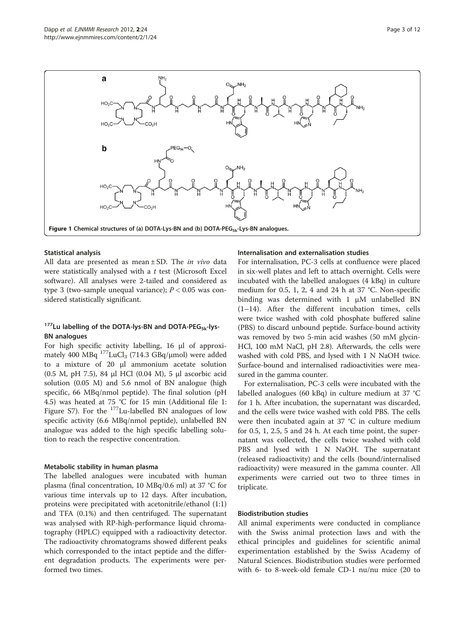<span id="page-2-0"></span>

## Statistical analysis

All data are presented as mean  $\pm$  SD. The *in vivo* data were statistically analysed with a  $t$  test (Microsoft Excel software). All analyses were 2-tailed and considered as type 3 (two-sample unequal variance);  $P < 0.05$  was considered statistically significant.

# $177$ Lu labelling of the DOTA-lys-BN and DOTA-PEG<sub>5k</sub>-lys-BN analogues

For high specific activity labelling, 16 μl of approximately 400 MBq<sup>177</sup>LuCl<sub>3</sub> (714.3 GBq/μmol) were added to a mixture of 20 μl ammonium acetate solution (0.5 M, pH 7.5), 84 μl HCl (0.04 M), 5 μl ascorbic acid solution (0.05 M) and 5.6 nmol of BN analogue (high specific, 66 MBq/nmol peptide). The final solution (pH 4.5) was heated at 75 °C for 15 min (Additional file [1](#page-10-0): Figure S7). For the <sup>177</sup>Lu-labelled BN analogues of low specific activity (6.6 MBq/nmol peptide), unlabelled BN analogue was added to the high specific labelling solution to reach the respective concentration.

## Metabolic stability in human plasma

The labelled analogues were incubated with human plasma (final concentration, 10 MBq/0.6 ml) at 37 °C for various time intervals up to 12 days. After incubation, proteins were precipitated with acetonitrile/ethanol (1:1) and TFA (0.1%) and then centrifuged. The supernatant was analysed with RP-high-performance liquid chromatography (HPLC) equipped with a radioactivity detector. The radioactivity chromatograms showed different peaks which corresponded to the intact peptide and the different degradation products. The experiments were performed two times.

## Internalisation and externalisation studies

For internalisation, PC-3 cells at confluence were placed in six-well plates and left to attach overnight. Cells were incubated with the labelled analogues (4 kBq) in culture medium for 0.5, 1, 2, 4 and 24 h at 37 °C. Non-specific binding was determined with 1 μM unlabelled BN (1–14). After the different incubation times, cells were twice washed with cold phosphate buffered saline (PBS) to discard unbound peptide. Surface-bound activity was removed by two 5-min acid washes (50 mM glycin-HCl, 100 mM NaCl, pH 2.8). Afterwards, the cells were washed with cold PBS, and lysed with 1 N NaOH twice. Surface-bound and internalised radioactivities were measured in the gamma counter.

For externalisation, PC-3 cells were incubated with the labelled analogues (60 kBq) in culture medium at 37 °C for 1 h. After incubation, the supernatant was discarded, and the cells were twice washed with cold PBS. The cells were then incubated again at 37 °C in culture medium for 0.5, 1, 2.5, 5 and 24 h. At each time point, the supernatant was collected, the cells twice washed with cold PBS and lysed with 1 N NaOH. The supernatant (released radioactivity) and the cells (bound/internalised radioactivity) were measured in the gamma counter. All experiments were carried out two to three times in triplicate.

## Biodistribution studies

All animal experiments were conducted in compliance with the Swiss animal protection laws and with the ethical principles and guidelines for scientific animal experimentation established by the Swiss Academy of Natural Sciences. Biodistribution studies were performed with 6- to 8-week-old female CD-1 nu/nu mice (20 to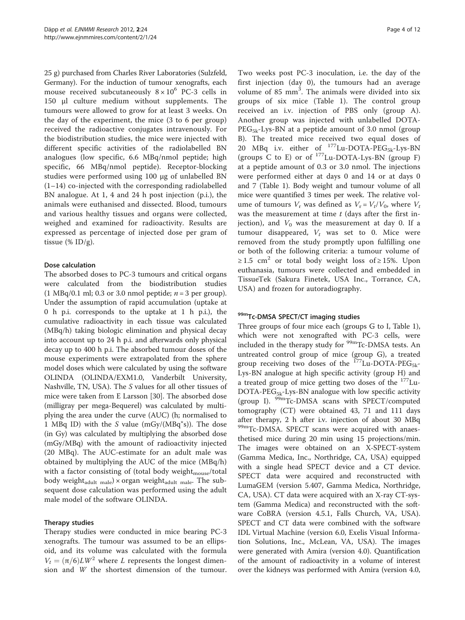25 g) purchased from Charles River Laboratories (Sulzfeld, Germany). For the induction of tumour xenografts, each mouse received subcutaneously  $8 \times 10^6$  PC-3 cells in 150 μl culture medium without supplements. The tumours were allowed to grow for at least 3 weeks. On the day of the experiment, the mice (3 to 6 per group) received the radioactive conjugates intravenously. For the biodistribution studies, the mice were injected with different specific activities of the radiolabelled BN analogues (low specific, 6.6 MBq/nmol peptide; high specific, 66 MBq/nmol peptide). Receptor-blocking studies were performed using 100 μg of unlabelled BN (1–14) co-injected with the corresponding radiolabelled BN analogue. At 1, 4 and 24 h post injection (p.i.), the animals were euthanised and dissected. Blood, tumours and various healthy tissues and organs were collected, weighed and examined for radioactivity. Results are expressed as percentage of injected dose per gram of tissue (%  $ID/g$ ).

# Dose calculation

The absorbed doses to PC-3 tumours and critical organs were calculated from the biodistribution studies (1 MBq/0.1 ml; 0.3 or 3.0 nmol peptide;  $n = 3$  per group). Under the assumption of rapid accumulation (uptake at 0 h p.i. corresponds to the uptake at 1 h p.i.), the cumulative radioactivity in each tissue was calculated (MBq/h) taking biologic elimination and physical decay into account up to 24 h p.i. and afterwards only physical decay up to 400 h p.i. The absorbed tumour doses of the mouse experiments were extrapolated from the sphere model doses which were calculated by using the software OLINDA (OLINDA/EXM1.0, Vanderbilt University, Nashville, TN, USA). The S values for all other tissues of mice were taken from E Larsson [\[30](#page-11-0)]. The absorbed dose (milligray per mega-Bequerel) was calculated by multiplying the area under the curve (AUC) (h; normalised to 1 MBq ID) with the S value  $(mGy/(MBq^*s))$ . The dose (in Gy) was calculated by multiplying the absorbed dose (mGy/MBq) with the amount of radioactivity injected (20 MBq). The AUC-estimate for an adult male was obtained by multiplying the AUC of the mice (MBq/h) with a factor consisting of (total body weight $_{\text{mouse}}$ /total body weight<sub>adult male</sub>)  $\times$  organ weight<sub>adult male</sub>. The subsequent dose calculation was performed using the adult male model of the software OLINDA.

# Therapy studies

Therapy studies were conducted in mice bearing PC-3 xenografts. The tumour was assumed to be an ellipsoid, and its volume was calculated with the formula  $V_t = (\pi/6)LW^2$  where L represents the longest dimension and W the shortest dimension of the tumour.

Two weeks post PC-3 inoculation, i.e. the day of the first injection (day 0), the tumours had an average volume of 85  $mm<sup>3</sup>$ . The animals were divided into six groups of six mice (Table [1](#page-4-0)). The control group received an i.v. injection of PBS only (group A). Another group was injected with unlabelled DOTA- $PEG_{5k}$ -Lys-BN at a peptide amount of 3.0 nmol (group B). The treated mice received two equal doses of 20 MBq i.v. either of  $^{177}$ Lu-DOTA-PEG<sub>5k</sub>-Lys-BN (groups C to E) or of  $^{177}$ Lu-DOTA-Lys-BN (group F) at a peptide amount of 0.3 or 3.0 nmol. The injections were performed either at days 0 and 14 or at days 0 and 7 (Table [1](#page-4-0)). Body weight and tumour volume of all mice were quantified 3 times per week. The relative volume of tumours  $V_r$  was defined as  $V_r = V_t/V_0$ , where  $V_t$ was the measurement at time  $t$  (days after the first injection), and  $V_0$  was the measurement at day 0. If a tumour disappeared,  $V_t$  was set to 0. Mice were removed from the study promptly upon fulfilling one or both of the following criteria: a tumour volume of  $≥ 1.5$  cm<sup>2</sup> or total body weight loss of ≥ 15%. Upon euthanasia, tumours were collected and embedded in TissueTek (Sakura Finetek, USA Inc., Torrance, CA, USA) and frozen for autoradiography.

# 99mTc-DMSA SPECT/CT imaging studies

Three groups of four mice each (groups G to I, Table [1](#page-4-0)), which were not xenografted with PC-3 cells, were included in the therapy study for  $\frac{99 \text{m}}{2}$ Tc-DMSA tests. An untreated control group of mice (group G), a treated group receiving two doses of the  $^{177}$ Lu-DOTA-PEG<sub>5k</sub>-Lys-BN analogue at high specific activity (group H) and a treated group of mice getting two doses of the  $177$ Lu- $DOTA-PEG_{5k}$ -Lys-BN analogue with low specific activity (group I).  $\frac{99m}{Tc}$ -DMSA scans with SPECT/computed tomography (CT) were obtained 43, 71 and 111 days after therapy, 2 h after i.v. injection of about 30 MBq 99mTc-DMSA. SPECT scans were acquired with anaesthetised mice during 20 min using 15 projections/min. The images were obtained on an X-SPECT-system (Gamma Medica, Inc., Northridge, CA, USA) equipped with a single head SPECT device and a CT device. SPECT data were acquired and reconstructed with LumaGEM (version 5.407, Gamma Medica, Northridge, CA, USA). CT data were acquired with an X-ray CT-system (Gamma Medica) and reconstructed with the software CoBRA (version 4.5.1, Falls Church, VA, USA). SPECT and CT data were combined with the software IDL Virtual Machine (version 6.0, Exelis Visual Information Solutions, Inc., McLean, VA, USA). The images were generated with Amira (version 4.0). Quantification of the amount of radioactivity in a volume of interest over the kidneys was performed with Amira (version 4.0,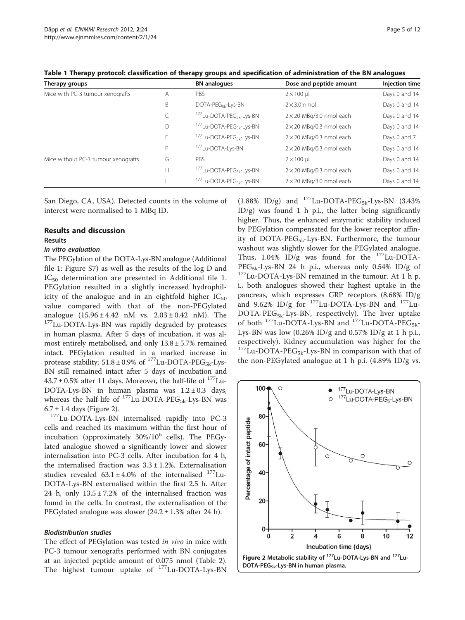| Therapy groups                      |   | <b>BN</b> analogues                              | Dose and peptide amount         | Injection time |
|-------------------------------------|---|--------------------------------------------------|---------------------------------|----------------|
| Mice with PC-3 tumour xenografts    | Α | PBS                                              | $2 \times 100$ µ                | Days 0 and 14  |
|                                     | B | DOTA-PEG <sub>5k</sub> -Lys-BN                   | $2 \times 3.0$ nmol             | Days 0 and 14  |
|                                     | C | <sup>177</sup> Lu-DOTA-PEG <sub>5k</sub> -Lys-BN | $2 \times 20$ MBq/3.0 nmol each | Days 0 and 14  |
|                                     | D | <sup>177</sup> Lu-DOTA-PEG <sub>5k</sub> -Lys-BN | $2 \times 20$ MBg/0.3 nmol each | Days 0 and 14  |
|                                     | E | <sup>177</sup> Lu-DOTA-PEG <sub>5k</sub> -Lys-BN | $2 \times 20$ MBg/0.3 nmol each | Days 0 and 7   |
|                                     | F | <sup>177</sup> Lu-DOTA-Lys-BN                    | $2 \times 20$ MBg/0.3 nmol each | Days 0 and 14  |
| Mice without PC-3 tumour xenografts | G | <b>PBS</b>                                       | $2 \times 100$ µ                | Days 0 and 14  |
|                                     | Н | <sup>177</sup> Lu-DOTA-PEG <sub>5k</sub> -Lys-BN | $2 \times 20$ MBg/0.3 nmol each | Days 0 and 14  |
|                                     |   | <sup>177</sup> Lu-DOTA-PEG <sub>5k</sub> -Lys-BN | $2 \times 20$ MBg/3.0 nmol each | Days 0 and 14  |

<span id="page-4-0"></span>Table 1 Therapy protocol: classification of therapy groups and specification of administration of the BN analogues

San Diego, CA, USA). Detected counts in the volume of interest were normalised to 1 MBq ID.

#### Results and discussion

#### Results

## In vitro evaluation

The PEGylation of the DOTA-Lys-BN analogue (Additional file [1:](#page-10-0) Figure S7) as well as the results of the log D and IC<sub>50</sub> determination are presented in Additional file [1](#page-10-0). PEGylation resulted in a slightly increased hydrophilicity of the analogue and in an eightfold higher  $IC_{50}$ value compared with that of the non-PEGylated analogue  $(15.96 \pm 4.42 \text{ nM} \text{ vs. } 2.03 \pm 0.42 \text{ nM})$ . The <sup>177</sup>Lu-DOTA-Lys-BN was rapidly degraded by proteases in human plasma. After 5 days of incubation, it was almost entirely metabolised, and only  $13.8 \pm 5.7\%$  remained intact. PEGylation resulted in a marked increase in protease stability;  $51.8 \pm 0.9\%$  of  $^{177}$ Lu-DOTA-PEG<sub>5k</sub>-Lys-BN still remained intact after 5 days of incubation and  $43.7 \pm 0.5\%$  after 11 days. Moreover, the half-life of  $177$ Lu-DOTA-Lys-BN in human plasma was  $1.2 \pm 0.3$  days, whereas the half-life of  $^{177}$ Lu-DOTA-PEG<sub>5k</sub>-Lys-BN was 6.7 ± 1.4 days (Figure 2).

<sup>177</sup>Lu-DOTA-Lys-BN internalised rapidly into PC-3 cells and reached its maximum within the first hour of incubation (approximately  $30\%/10^6$  cells). The PEGylated analogue showed a significantly lower and slower internalisation into PC-3 cells. After incubation for 4 h, the internalised fraction was  $3.3 \pm 1.2$ %. Externalisation studies revealed  $63.1 \pm 4.0\%$  of the internalised  $^{177}$ Lu-DOTA-Lys-BN externalised within the first 2.5 h. After 24 h, only  $13.5 \pm 7.2$ % of the internalised fraction was found in the cells. In contrast, the externalisation of the PEGylated analogue was slower  $(24.2 \pm 1.3\%$  after 24 h).

#### Biodistribution studies

The effect of PEGylation was tested in vivo in mice with PC-3 tumour xenografts performed with BN conjugates at an injected peptide amount of 0.075 nmol (Table [2](#page-5-0)). The highest tumour uptake of <sup>177</sup>Lu-DOTA-Lys-BN

 $(1.88\%$  ID/g) and <sup>177</sup>Lu-DOTA-PEG<sub>5k</sub>-Lys-BN  $(3.43\%$ ID/g) was found 1 h p.i., the latter being significantly higher. Thus, the enhanced enzymatic stability induced by PEGylation compensated for the lower receptor affinity of DOTA-PE $G_{5k}$ -Lys-BN. Furthermore, the tumour washout was slightly slower for the PEGylated analogue. Thus,  $1.04\%$  ID/g was found for the  $177$ Lu-DOTA-PEG5k-Lys-BN 24 h p.i., whereas only 0.54% ID/g of 177Lu-DOTA-Lys-BN remained in the tumour. At 1 h p. i., both analogues showed their highest uptake in the pancreas, which expresses GRP receptors (8.68% ID/g and  $9.62\%$  ID/g for  $177$ Lu-DOTA-Lys-BN and  $177$ Lu-DOTA-PEG5k-Lys-BN, respectively). The liver uptake of both  $^{177}$ Lu-DOTA-Lys-BN and  $^{177}$ Lu-DOTA-PEG<sub>5k</sub>-Lys-BN was low  $(0.26\%$  ID/g and  $0.57\%$  ID/g at 1 h p.i., respectively). Kidney accumulation was higher for the  $177$ Lu-DOTA-PEG<sub>5k</sub>-Lys-BN in comparison with that of the non-PEGylated analogue at 1 h p.i.  $(4.89\%$  ID/g vs.

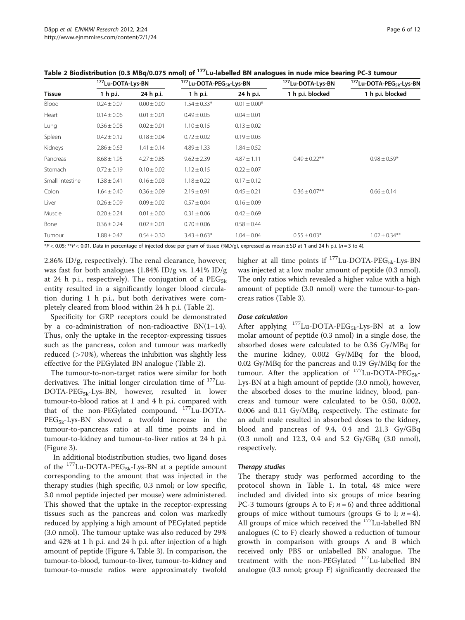|                 |                 | <sup>177</sup> Lu-DOTA-Lys-BN |                  | <sup>177</sup> Lu-DOTA-PEG <sub>5k</sub> -Lys-BN | <sup>177</sup> Lu-DOTA-Lys-BN | <sup>177</sup> Lu-DOTA-PEG <sub>5k</sub> -Lys-BN |
|-----------------|-----------------|-------------------------------|------------------|--------------------------------------------------|-------------------------------|--------------------------------------------------|
| <b>Tissue</b>   | 1 h p.i.        | 24 h p.i.                     | 1 h p.i.         | 24 h p.i.                                        | 1 h p.i. blocked              | 1 h p.i. blocked                                 |
| Blood           | $0.24 \pm 0.07$ | $0.00 \pm 0.00$               | $1.54 \pm 0.33*$ | $0.01 \pm 0.00*$                                 |                               |                                                  |
| Heart           | $0.14 \pm 0.06$ | $0.01 \pm 0.01$               | $0.49 \pm 0.05$  | $0.04 \pm 0.01$                                  |                               |                                                  |
| Lung            | $0.36 \pm 0.08$ | $0.02 \pm 0.01$               | $1.10 \pm 0.15$  | $0.13 \pm 0.02$                                  |                               |                                                  |
| Spleen          | $0.42 \pm 0.12$ | $0.18 \pm 0.04$               | $0.72 \pm 0.02$  | $0.19 \pm 0.03$                                  |                               |                                                  |
| Kidneys         | $2.86 \pm 0.63$ | $1.41 \pm 0.14$               | $4.89 \pm 1.33$  | $1.84 \pm 0.52$                                  |                               |                                                  |
| Pancreas        | $8.68 \pm 1.95$ | $4.27 \pm 0.85$               | $9.62 \pm 2.39$  | $4.87 \pm 1.11$                                  | $0.49 \pm 0.22$ **            | $0.98 \pm 0.59*$                                 |
| Stomach         | $0.72 \pm 0.19$ | $0.10 \pm 0.02$               | $1.12 \pm 0.15$  | $0.22 \pm 0.07$                                  |                               |                                                  |
| Small intestine | $1.38 \pm 0.41$ | $0.16 \pm 0.03$               | $1.18 \pm 0.22$  | $0.17 \pm 0.12$                                  |                               |                                                  |
| Colon           | $1.64 \pm 0.40$ | $0.36 \pm 0.09$               | $2.19 \pm 0.91$  | $0.45 \pm 0.21$                                  | $0.36 \pm 0.07$ **            | $0.66 \pm 0.14$                                  |
| Liver           | $0.26 \pm 0.09$ | $0.09 \pm 0.02$               | $0.57 \pm 0.04$  | $0.16 \pm 0.09$                                  |                               |                                                  |
| Muscle          | $0.20 \pm 0.24$ | $0.01 \pm 0.00$               | $0.31 \pm 0.06$  | $0.42 \pm 0.69$                                  |                               |                                                  |
| Bone            | $0.36 \pm 0.24$ | $0.02 \pm 0.01$               | $0.70 \pm 0.06$  | $0.58 \pm 0.44$                                  |                               |                                                  |
| Tumour          | $1.88 \pm 0.47$ | $0.54 \pm 0.30$               | $3.43 \pm 0.63*$ | $1.04 \pm 0.04$                                  | $0.55 \pm 0.03*$              | $1.02 \pm 0.34***$                               |

<span id="page-5-0"></span>Table 2 Biodistribution (0.3 MBq/0.075 nmol) of <sup>177</sup>Lu-labelled BN analogues in nude mice bearing PC-3 tumour

\*P < 0.05; \*\*P < 0.01. Data in percentage of injected dose per gram of tissue (%ID/g), expressed as mean ± SD at 1 and 24 h p.i. (n = 3 to 4).

2.86% ID/g, respectively). The renal clearance, however, was fast for both analogues (1.84% ID/g vs. 1.41% ID/g at 24 h p.i., respectively). The conjugation of a  $PEG_{5k}$ entity resulted in a significantly longer blood circulation during 1 h p.i., but both derivatives were completely cleared from blood within 24 h p.i. (Table 2).

Specificity for GRP receptors could be demonstrated by a co-administration of non-radioactive  $BN(1-14)$ . Thus, only the uptake in the receptor-expressing tissues such as the pancreas, colon and tumour was markedly reduced  $($ >70%), whereas the inhibition was slightly less effective for the PEGylated BN analogue (Table 2).

The tumour-to-non-target ratios were similar for both derivatives. The initial longer circulation time of  $177$ Lu-DOTA-PEG5k-Lys-BN, however, resulted in lower tumour-to-blood ratios at 1 and 4 h p.i. compared with that of the non-PEGylated compound. 177Lu-DOTA-PEG<sub>5k</sub>-Lys-BN showed a twofold increase in the tumour-to-pancreas ratio at all time points and in tumour-to-kidney and tumour-to-liver ratios at 24 h p.i. (Figure [3](#page-6-0)).

In additional biodistribution studies, two ligand doses of the  $^{177}$ Lu-DOTA-PEG<sub>5k</sub>-Lys-BN at a peptide amount corresponding to the amount that was injected in the therapy studies (high specific, 0.3 nmol; or low specific, 3.0 nmol peptide injected per mouse) were administered. This showed that the uptake in the receptor-expressing tissues such as the pancreas and colon was markedly reduced by applying a high amount of PEGylated peptide (3.0 nmol). The tumour uptake was also reduced by 29% and 42% at 1 h p.i. and 24 h p.i. after injection of a high amount of peptide (Figure [4](#page-6-0), Table [3](#page-7-0)). In comparison, the tumour-to-blood, tumour-to-liver, tumour-to-kidney and tumour-to-muscle ratios were approximately twofold higher at all time points if  $^{177}$ Lu-DOTA-PEG<sub>5k</sub>-Lys-BN was injected at a low molar amount of peptide (0.3 nmol). The only ratios which revealed a higher value with a high amount of peptide (3.0 nmol) were the tumour-to-pancreas ratios (Table [3](#page-7-0)).

## Dose calculation

After applying  $^{177}$ Lu-DOTA-PEG<sub>5k</sub>-Lys-BN at a low molar amount of peptide (0.3 nmol) in a single dose, the absorbed doses were calculated to be 0.36 Gy/MBq for the murine kidney, 0.002 Gy/MBq for the blood, 0.02 Gy/MBq for the pancreas and 0.19 Gy/MBq for the tumour. After the application of  $^{177}$ Lu-DOTA-PEG<sub>5k</sub>-Lys-BN at a high amount of peptide (3.0 nmol), however, the absorbed doses to the murine kidney, blood, pancreas and tumour were calculated to be 0.50, 0.002, 0.006 and 0.11 Gy/MBq, respectively. The estimate for an adult male resulted in absorbed doses to the kidney, blood and pancreas of 9.4, 0.4 and 21.3 Gy/GBq (0.3 nmol) and 12.3, 0.4 and 5.2 Gy/GBq (3.0 nmol), respectively.

# Therapy studies

The therapy study was performed according to the protocol shown in Table [1](#page-4-0). In total, 48 mice were included and divided into six groups of mice bearing PC-3 tumours (groups A to F;  $n = 6$ ) and three additional groups of mice without tumours (groups G to I;  $n = 4$ ). All groups of mice which received the <sup>177</sup>Lu-labelled BN analogues (C to F) clearly showed a reduction of tumour growth in comparison with groups A and B which received only PBS or unlabelled BN analogue. The treatment with the non-PEGylated <sup>177</sup>Lu-labelled BN analogue (0.3 nmol; group F) significantly decreased the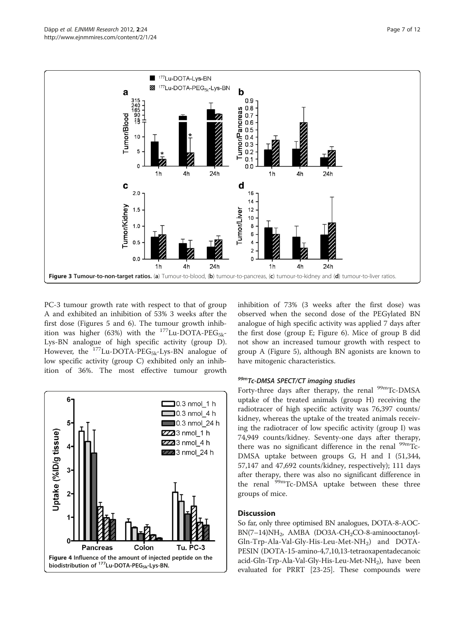<span id="page-6-0"></span>

PC-3 tumour growth rate with respect to that of group A and exhibited an inhibition of 53% 3 weeks after the first dose (Figures [5](#page-7-0) and [6\)](#page-7-0). The tumour growth inhibition was higher (63%) with the  $^{177}$ Lu-DOTA-PEG<sub>5k</sub>-Lys-BN analogue of high specific activity (group D). However, the  $177$ Lu-DOTA-PEG<sub>5k</sub>-Lys-BN analogue of low specific activity (group C) exhibited only an inhibition of 36%. The most effective tumour growth



inhibition of 73% (3 weeks after the first dose) was observed when the second dose of the PEGylated BN analogue of high specific activity was applied 7 days after the first dose (group E; Figure [6\)](#page-7-0). Mice of group B did not show an increased tumour growth with respect to group A (Figure [5\)](#page-7-0), although BN agonists are known to have mitogenic characteristics.

## 99mTc-DMSA SPECT/CT imaging studies

Forty-three days after therapy, the renal <sup>99m</sup>Tc-DMSA uptake of the treated animals (group H) receiving the radiotracer of high specific activity was 76,397 counts/ kidney, whereas the uptake of the treated animals receiving the radiotracer of low specific activity (group I) was 74,949 counts/kidney. Seventy-one days after therapy, there was no significant difference in the renal  $\frac{99 \text{m}}{2}$ Tc-DMSA uptake between groups G, H and I (51,344, 57,147 and 47,692 counts/kidney, respectively); 111 days after therapy, there was also no significant difference in the renal  $99m$ Tc-DMSA uptake between these three groups of mice.

# **Discussion**

So far, only three optimised BN analogues, DOTA-8-AOC- $BN(7–14)NH<sub>2</sub>$ , AMBA (DO3A-CH<sub>2</sub>CO-8-aminooctanoyl-Gln-Trp-Ala-Val-Gly-His-Leu-Met-NH<sub>2</sub>) and DOTA-PESIN (DOTA-15-amino-4,7,10,13-tetraoxapentadecanoic acid-Gln-Trp-Ala-Val-Gly-His-Leu-Met-NH<sub>2</sub>), have been evaluated for PRRT [[23](#page-10-0)-[25](#page-11-0)]. These compounds were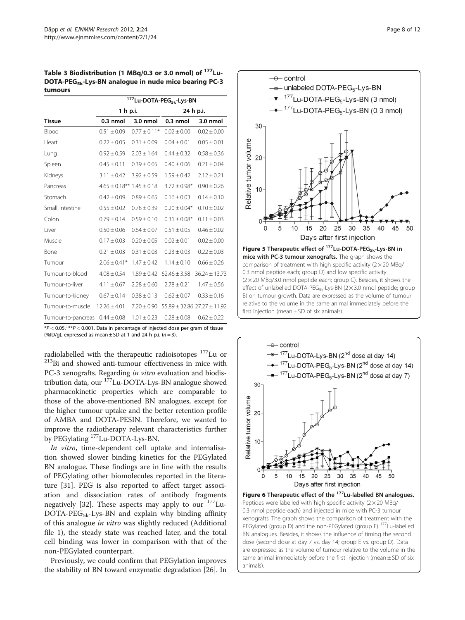<span id="page-7-0"></span>Table 3 Biodistribution (1 MBq/0.3 or 3.0 nmol) of 177Lu-DOTA-PEG5k-Lys-BN analogue in nude mice bearing PC-3 tumours

|                    | <sup>177</sup> Lu-DOTA-PEG <sub>5k</sub> -Lys-BN |                  |                             |                   |  |  |  |
|--------------------|--------------------------------------------------|------------------|-----------------------------|-------------------|--|--|--|
|                    | 1 h p.i.                                         |                  | 24 h p.i.                   |                   |  |  |  |
| <b>Tissue</b>      | $0.3$ nmol                                       | 3.0 nmol         | $0.3$ nmol                  | 3.0 nmol          |  |  |  |
| Blood              | $0.51 \pm 0.09$                                  | $0.77 \pm 0.11*$ | $0.02 \pm 0.00$             | $0.02 \pm 0.00$   |  |  |  |
| Heart              | $0.22 \pm 0.05$                                  | $0.31 \pm 0.09$  | $0.04 \pm 0.01$             | $0.05 \pm 0.01$   |  |  |  |
| Lung               | $0.92 \pm 0.59$                                  | $2.03 \pm 1.64$  | $0.44 \pm 0.32$             | $0.58 \pm 0.36$   |  |  |  |
| Spleen             | $0.45 \pm 0.11$                                  | $0.39 \pm 0.05$  | $0.40 \pm 0.06$             | $0.21 \pm 0.04$   |  |  |  |
| Kidneys            | $3.11 \pm 0.42$                                  | $3.92 \pm 0.59$  | $1.59 \pm 0.42$             | $2.12 \pm 0.21$   |  |  |  |
| Pancreas           | $4.65 \pm 0.18$ ** $1.45 \pm 0.18$               |                  | $3.72 \pm 0.98*$            | $0.90 \pm 0.26$   |  |  |  |
| Stomach            | $0.42 \pm 0.09$                                  | $0.89 \pm 0.65$  | $0.16 \pm 0.03$             | $0.14 \pm 0.10$   |  |  |  |
| Small intestine    | $0.55 \pm 0.02$                                  | $0.78 \pm 0.39$  | $0.20 \pm 0.04*$            | $0.10 \pm 0.02$   |  |  |  |
| Colon              | $0.79 \pm 0.14$                                  | $0.59 \pm 0.10$  | $0.31 \pm 0.08*$            | $0.11 \pm 0.03$   |  |  |  |
| Liver              | $0.50 \pm 0.06$                                  | $0.64 \pm 0.07$  | $0.51 \pm 0.05$             | $0.46 \pm 0.02$   |  |  |  |
| Muscle             | $0.17 \pm 0.03$                                  | $0.20 \pm 0.05$  | $0.02 \pm 0.01$             | $0.02 \pm 0.00$   |  |  |  |
| Bone               | $0.21 \pm 0.03$                                  | $0.31 \pm 0.03$  | $0.23 \pm 0.03$             | $0.22 \pm 0.03$   |  |  |  |
| Tumour             | $2.06 \pm 0.41*$                                 | $1.47 \pm 0.42$  | $1.14 \pm 0.10$             | $0.66 \pm 0.26$   |  |  |  |
| Tumour-to-blood    | $4.08 \pm 0.54$                                  | $1.89 \pm 0.42$  | $62.46 \pm 3.58$            | $36.24 \pm 13.73$ |  |  |  |
| Tumour-to-liver    | $4.11 \pm 0.67$                                  | $2.28 \pm 0.60$  | $2.78 \pm 0.21$             | $1.47 \pm 0.56$   |  |  |  |
| Tumour-to-kidney   | $0.67 \pm 0.14$                                  | $0.38 \pm 0.13$  | $0.62 \pm 0.07$             | $0.33 \pm 0.16$   |  |  |  |
| Tumour-to-muscle   | $12.26 \pm 4.01$                                 | $7.20 \pm 0.90$  | 55.89 ± 32.86 27.27 ± 11.92 |                   |  |  |  |
| Tumour-to-pancreas | $0.44 \pm 0.08$                                  | $1.01 \pm 0.23$  | $0.28 \pm 0.08$             | $0.62 \pm 0.22$   |  |  |  |

 $*P < 0.05$ .<sup>;</sup>  $**P < 0.001$ . Data in percentage of injected dose per gram of tissue (%ID/g), expressed as mean  $\pm$  SD at 1 and 24 h p.i. ( $n = 3$ ).

radiolabelled with the therapeutic radioisotopes  $^{177}$ Lu or  $^{213}$ Bi and showed anti-tumour effectiveness in mice with PC-3 xenografts. Regarding *in vitro* evaluation and biodistribution data, our 177Lu-DOTA-Lys-BN analogue showed pharmacokinetic properties which are comparable to those of the above-mentioned BN analogues, except for the higher tumour uptake and the better retention profile of AMBA and DOTA-PESIN. Therefore, we wanted to improve the radiotherapy relevant characteristics further by PEGylating <sup>177</sup>Lu-DOTA-Lys-BN.

In vitro, time-dependent cell uptake and internalisation showed slower binding kinetics for the PEGylated BN analogue. These findings are in line with the results of PEGylating other biomolecules reported in the literature [\[31\]](#page-11-0). PEG is also reported to affect target association and dissociation rates of antibody fragments negatively [[32\]](#page-11-0). These aspects may apply to our  $177$ Lu- $DOTA-PEG_{5k}-Lys-BN$  and explain why binding affinity of this analogue in vitro was slightly reduced [\(Additional](#page-10-0) [file 1](#page-10-0)), the steady state was reached later, and the total cell binding was lower in comparison with that of the non-PEGylated counterpart.

Previously, we could confirm that PEGylation improves the stability of BN toward enzymatic degradation [[26\]](#page-11-0). In



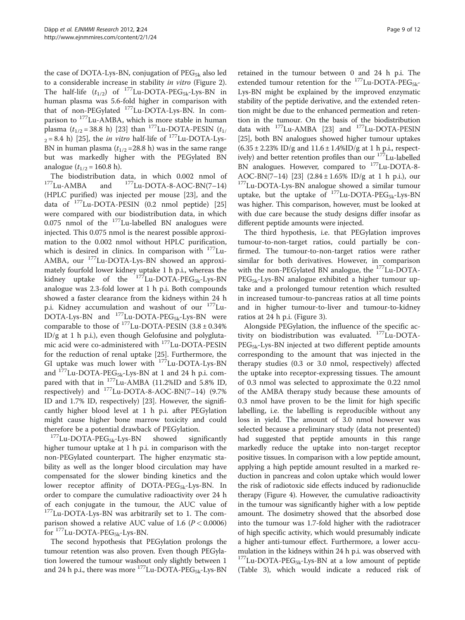the case of DOTA-Lys-BN, conjugation of  $PEG_{5k}$  also led to a considerable increase in stability in vitro (Figure [2](#page-4-0)). The half-life  $(t_{1/2})$  of  $^{177}$ Lu-DOTA-PEG<sub>5k</sub>-Lys-BN in human plasma was 5.6-fold higher in comparison with that of non-PEGylated 177Lu-DOTA-Lys-BN. In comparison to 177Lu-AMBA, which is more stable in human plasma  $(t_{1/2} = 38.8 \text{ h})$  [\[23\]](#page-10-0) than <sup>177</sup>Lu-DOTA-PESIN  $(t_{1/2})$  $_{2}$  = 8.4 h) [\[25](#page-11-0)], the *in vitro* half-life of <sup>177</sup>Lu-DOTA-Lys-BN in human plasma  $(t_{1/2} = 28.8 \text{ h})$  was in the same range but was markedly higher with the PEGylated BN analogue  $(t_{1/2} = 160.8 \text{ h})$ .

The biodistribution data, in which  $0.002$  nmol of  $^{177}$ Lu-AMBA and  $^{177}$ Lu-DOTA-8-AOC-BN(7–14) (HPLC purified) was injected per mouse [\[23](#page-10-0)], and the data of 177Lu-DOTA-PESIN (0.2 nmol peptide) [[25](#page-11-0)] were compared with our biodistribution data, in which 0.075 nmol of the 177Lu-labelled BN analogues were injected. This 0.075 nmol is the nearest possible approximation to the 0.002 nmol without HPLC purification, which is desired in clinics. In comparison with <sup>177</sup>Lu-AMBA, our 177Lu-DOTA-Lys-BN showed an approximately fourfold lower kidney uptake 1 h p.i., whereas the kidney uptake of the  $177$ Lu-DOTA-PEG<sub>5k</sub>-Lys-BN analogue was 2.3-fold lower at 1 h p.i. Both compounds showed a faster clearance from the kidneys within 24 h p.i. Kidney accumulation and washout of our 177Lu- $DOTA-Lys-BN$  and  $^{177}Lu-DOTA-PEG_{5k}-Lys-BN$  were comparable to those of  $^{177}$ Lu-DOTA-PESIN (3.8 ± 0.34%) ID/g at 1 h p.i.), even though Gelofusine and polyglutamic acid were co-administered with 177Lu-DOTA-PESIN for the reduction of renal uptake [\[25\]](#page-11-0). Furthermore, the GI uptake was much lower with 177Lu-DOTA-Lys-BN and  $^{177}$ Lu-DOTA-PEG<sub>5k</sub>-Lys-BN at 1 and 24 h p.i. compared with that in <sup>177</sup>Lu-AMBA (11.2%ID and 5.8% ID, respectively) and  $177$ Lu-DOTA-8-AOC-BN(7-14) (9.7% ID and 1.7% ID, respectively) [\[23](#page-10-0)]. However, the significantly higher blood level at 1 h p.i. after PEGylation might cause higher bone marrow toxicity and could therefore be a potential drawback of PEGylation.<br><sup>177</sup>Lu-DOTA-PEG<sub>5k</sub>-Lys-BN showed significantly

higher tumour uptake at 1 h p.i. in comparison with the non-PEGylated counterpart. The higher enzymatic stability as well as the longer blood circulation may have compensated for the slower binding kinetics and the lower receptor affinity of DOTA-PEG $_{5k}$ -Lys-BN. In order to compare the cumulative radioactivity over 24 h of each conjugate in the tumour, the AUC value of <sup>177</sup>Lu-DOTA-Lys-BN was arbitrarily set to 1. The comparison showed a relative AUC value of 1.6 ( $P < 0.0006$ ) for  $177$ Lu-DOTA-PEG<sub>5k</sub>-Lys-BN.

The second hypothesis that PEGylation prolongs the tumour retention was also proven. Even though PEGylation lowered the tumour washout only slightly between 1 and 24 h p.i., there was more  $^{177}$ Lu-DOTA-PEG<sub>5k</sub>-Lys-BN

retained in the tumour between 0 and 24 h p.i. The extended tumour retention for the  $^{177}$ Lu-DOTA-PEG<sub>5k</sub>-Lys-BN might be explained by the improved enzymatic stability of the peptide derivative, and the extended retention might be due to the enhanced permeation and retention in the tumour. On the basis of the biodistribution data with <sup>177</sup>Lu-AMBA [[23](#page-10-0)] and <sup>177</sup>Lu-DOTA-PESIN [[25](#page-11-0)], both BN analogues showed higher tumour uptakes  $(6.35 \pm 2.23\% \text{ ID/g} \text{ and } 11.6 \pm 1.4\% \text{ID/g} \text{ at } 1 \text{ h p.i., } \text{respect-}$ ively) and better retention profiles than our <sup>177</sup>Lu-labelled BN analogues. However, compared to <sup>177</sup>Lu-DOTA-8-AOC-BN(7–14) [\[23\]](#page-10-0) (2.84  $\pm$  1.65% ID/g at 1 h p.i.), our <sup>177</sup>Lu-DOTA-Lys-BN analogue showed a similar tumour uptake, but the uptake of  $^{177}$ Lu-DOTA-PEG<sub>5k</sub>-Lys-BN was higher. This comparison, however, must be looked at with due care because the study designs differ insofar as different peptide amounts were injected.

The third hypothesis, i.e. that PEGylation improves tumour-to-non-target ratios, could partially be confirmed. The tumour-to-non-target ratios were rather similar for both derivatives. However, in comparison with the non-PEGylated BN analogue, the <sup>177</sup>Lu-DOTA- $PEG_{5k}$ -Lys-BN analogue exhibited a higher tumour uptake and a prolonged tumour retention which resulted in increased tumour-to-pancreas ratios at all time points and in higher tumour-to-liver and tumour-to-kidney ratios at 24 h p.i. (Figure [3\)](#page-6-0).

Alongside PEGylation, the influence of the specific activity on biodistribution was evaluated. <sup>177</sup>Lu-DOTA-PEG<sub>5k</sub>-Lys-BN injected at two different peptide amounts corresponding to the amount that was injected in the therapy studies (0.3 or 3.0 nmol, respectively) affected the uptake into receptor-expressing tissues. The amount of 0.3 nmol was selected to approximate the 0.22 nmol of the AMBA therapy study because these amounts of 0.3 nmol have proven to be the limit for high specific labelling, i.e. the labelling is reproducible without any loss in yield. The amount of 3.0 nmol however was selected because a preliminary study (data not presented) had suggested that peptide amounts in this range markedly reduce the uptake into non-target receptor positive tissues. In comparison with a low peptide amount, applying a high peptide amount resulted in a marked reduction in pancreas and colon uptake which would lower the risk of radiotoxic side effects induced by radionuclide therapy (Figure [4](#page-6-0)). However, the cumulative radioactivity in the tumour was significantly higher with a low peptide amount. The dosimetry showed that the absorbed dose into the tumour was 1.7-fold higher with the radiotracer of high specific activity, which would presumably indicate a higher anti-tumour effect. Furthermore, a lower accumulation in the kidneys within 24 h p.i. was observed with  $177$ Lu-DOTA-PEG<sub>5k</sub>-Lys-BN at a low amount of peptide (Table [3\)](#page-7-0), which would indicate a reduced risk of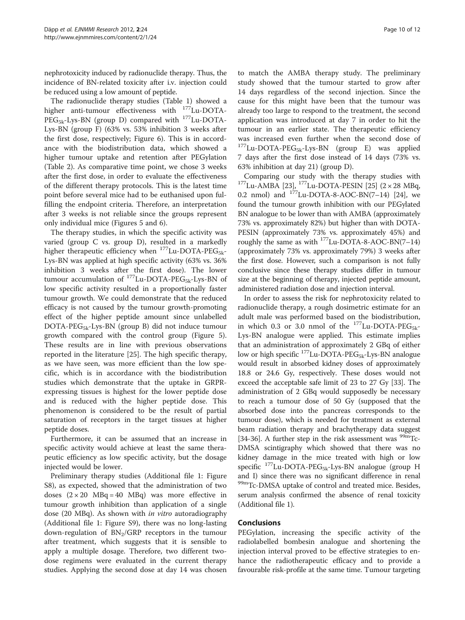nephrotoxicity induced by radionuclide therapy. Thus, the incidence of BN-related toxicity after i.v. injection could be reduced using a low amount of peptide.

The radionuclide therapy studies (Table [1](#page-4-0)) showed a higher anti-tumour effectiveness with 177Lu-DOTA-PEG<sub>5k</sub>-Lys-BN (group D) compared with <sup>177</sup>Lu-DOTA-Lys-BN (group F) (63% vs. 53% inhibition 3 weeks after the first dose, respectively; Figure [6](#page-7-0)). This is in accordance with the biodistribution data, which showed a higher tumour uptake and retention after PEGylation (Table [2](#page-5-0)). As comparative time point, we chose 3 weeks after the first dose, in order to evaluate the effectiveness of the different therapy protocols. This is the latest time point before several mice had to be euthanised upon fulfilling the endpoint criteria. Therefore, an interpretation after 3 weeks is not reliable since the groups represent only individual mice (Figures [5](#page-7-0) and [6](#page-7-0)).

The therapy studies, in which the specific activity was varied (group C vs. group D), resulted in a markedly higher therapeutic efficiency when  $^{177}$ Lu-DOTA-PEG<sub>5k</sub>-Lys-BN was applied at high specific activity (63% vs. 36% inhibition 3 weeks after the first dose). The lower tumour accumulation of  $^{177}$ Lu-DOTA-PEG<sub>5k</sub>-Lys-BN of low specific activity resulted in a proportionally faster tumour growth. We could demonstrate that the reduced efficacy is not caused by the tumour growth-promoting effect of the higher peptide amount since unlabelled DOTA-PEG5k-Lys-BN (group B) did not induce tumour growth compared with the control group (Figure [5](#page-7-0)). These results are in line with previous observations reported in the literature [[25](#page-11-0)]. The high specific therapy, as we have seen, was more efficient than the low specific, which is in accordance with the biodistribution studies which demonstrate that the uptake in GRPRexpressing tissues is highest for the lower peptide dose and is reduced with the higher peptide dose. This phenomenon is considered to be the result of partial saturation of receptors in the target tissues at higher peptide doses.

Furthermore, it can be assumed that an increase in specific activity would achieve at least the same therapeutic efficiency as low specific activity, but the dosage injected would be lower.

Preliminary therapy studies (Additional file [1:](#page-10-0) Figure S8), as expected, showed that the administration of two doses  $(2 \times 20 \text{ MBq} = 40 \text{ MBq})$  was more effective in tumour growth inhibition than application of a single dose (20 MBq). As shown with *in vitro* autoradiography (Additional file [1](#page-10-0): Figure S9), there was no long-lasting down-regulation of  $BN<sub>2</sub>/GRP$  receptors in the tumour after treatment, which suggests that it is sensible to apply a multiple dosage. Therefore, two different twodose regimens were evaluated in the current therapy studies. Applying the second dose at day 14 was chosen

to match the AMBA therapy study. The preliminary study showed that the tumour started to grow after 14 days regardless of the second injection. Since the cause for this might have been that the tumour was already too large to respond to the treatment, the second application was introduced at day 7 in order to hit the tumour in an earlier state. The therapeutic efficiency was increased even further when the second dose of  $177$ Lu-DOTA-PEG<sub>5k</sub>-Lys-BN (group E) was applied 7 days after the first dose instead of 14 days (73% vs. 63% inhibition at day 21) (group D).

Comparing our study with the therapy studies with  $177$ Lu-AMBA [[23](#page-10-0)],  $177$ Lu-DOTA-PESIN [\[25\]](#page-11-0) (2 × 28 MBq, 0.2 nmol) and  $177$ Lu-DOTA-8-AOC-BN(7–14) [\[24](#page-11-0)], we found the tumour growth inhibition with our PEGylated BN analogue to be lower than with AMBA (approximately 73% vs. approximately 82%) but higher than with DOTA-PESIN (approximately 73% vs. approximately 45%) and roughly the same as with 177Lu-DOTA-8-AOC-BN(7–14) (approximately 73% vs. approximately 79%) 3 weeks after the first dose. However, such a comparison is not fully conclusive since these therapy studies differ in tumour size at the beginning of therapy, injected peptide amount, administered radiation dose and injection interval.

In order to assess the risk for nephrotoxicity related to radionuclide therapy, a rough dosimetric estimate for an adult male was performed based on the biodistribution, in which 0.3 or 3.0 nmol of the  $^{177}$ Lu-DOTA-PEG<sub>5k</sub>-Lys-BN analogue were applied. This estimate implies that an administration of approximately 2 GBq of either low or high specific  $^{177}$ Lu-DOTA-PEG<sub>5k</sub>-Lys-BN analogue would result in absorbed kidney doses of approximately 18.8 or 24.6 Gy, respectively. These doses would not exceed the acceptable safe limit of 23 to 27 Gy [\[33\]](#page-11-0). The administration of 2 GBq would supposedly be necessary to reach a tumour dose of 50 Gy (supposed that the absorbed dose into the pancreas corresponds to the tumour dose), which is needed for treatment as external beam radiation therapy and brachytherapy data suggest [[34](#page-11-0)-[36\]](#page-11-0). A further step in the risk assessment was  $\frac{99 \text{m}}{2}$ Tc-DMSA scintigraphy which showed that there was no kidney damage in the mice treated with high or low specific <sup>177</sup>Lu-DOTA-PEG<sub>5k</sub>-Lys-BN analogue (group H and I) since there was no significant difference in renal 99mTc-DMSA uptake of control and treated mice. Besides, serum analysis confirmed the absence of renal toxicity (Additional file [1](#page-10-0)).

# Conclusions

PEGylation, increasing the specific activity of the radiolabelled bombesin analogue and shortening the injection interval proved to be effective strategies to enhance the radiotherapeutic efficacy and to provide a favourable risk-profile at the same time. Tumour targeting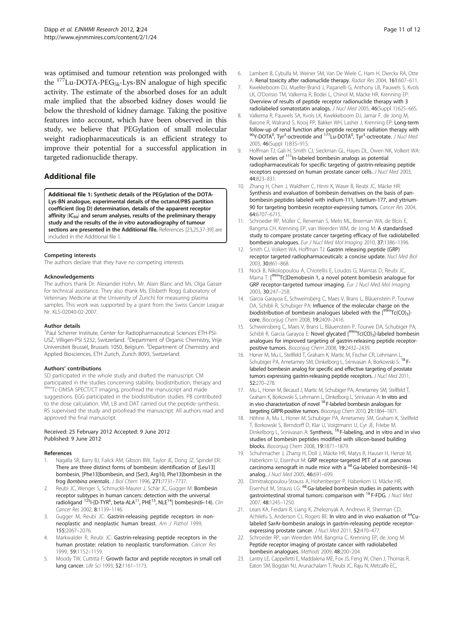<span id="page-10-0"></span>was optimised and tumour retention was prolonged with the 177Lu-DOTA-PEG5k-Lys-BN analogue of high specific activity. The estimate of the absorbed doses for an adult male implied that the absorbed kidney doses would lie below the threshold of kidney damage. Taking the positive features into account, which have been observed in this study, we believe that PEGylation of small molecular weight radiopharmaceuticals is an efficient strategy to improve their potential for a successful application in targeted radionuclide therapy.

# Additional file

[Additional file 1:](http://www.biomedcentral.com/content/supplementary/2191-219X-2-24.doc) Synthetic details of the PEGylation of the DOTA-Lys-BN analogue, experimental details of the octanol/PBS partition coefficient (log D) determination, details of the apparent receptor affinity  $(IC_{50})$  and serum analyses, results of the preliminary therapy study and the results of the in vitro autoradiography of tumour sections are presented in the Additional file. References [23,25,37-39] are included in the Additional file 1.

#### Competing interests

The authors declare that they have no competing interests.

#### Acknowledgements

The authors thank Dr. Alexander Hohn, Mr. Alain Blanc and Ms. Olga Gasser for technical assistance. They also thank Ms. Elisbeth Rogg (Laboratory of Veterinary Medicine at the University of Zurich) for measuring plasma samples. This work was supported by a grant from the Swiss Cancer League Nr. KLS-02040-02-2007.

#### Author details

<sup>1</sup>Paul Scherrer Institute, Center for Radiopharmaceutical Sciences ETH-PSI-USZ, Villigen-PSI 5232, Switzerland. <sup>2</sup>Department of Organic Chemistry, Vrije Universiteit Brussel, Brussels 1050, Belgium. <sup>3</sup>Department of Chemistry and Applied Biosciences, ETH Zurich, Zurich 8093, Switzerland.

#### Authors' contributions

SD participated in the whole study and drafted the manuscript. CM participated in the studies concerning stability, biodistribution, therapy and <sup>n</sup>Tc-DMSA SPECT/CT imaging, proofread the manuscript and made suggestions. EGG participated in the biodistribution studies. PB contributed to the dose calculation. VM, LB and DAT carried out the peptide synthesis. RS supervised the study and proofread the manuscript. All authors read and approved the final manuscript.

#### Received: 25 February 2012 Accepted: 9 June 2012 Published: 9 June 2012

#### References

- Nagalla SR, Barry BJ, Falick AM, Gibson BW, Taylor JE, Dong JZ, Spindel ER: There are three distinct forms of bombesin: identification of [Leu13] bombesin, [Phe13]bombesin, and [Ser3, Arg10, Phe13]bombesin in the frog Bombina orientalis. J Biol Chem 1996, 271:7731–7737.
- 2. Reubi JC, Wenger S, Schmuckli-Maurer J, Schär JC, Gugger M: Bombesin receptor subtypes in human cancers: detection with the universal<br>radioligand <sup>125</sup>I-[D-TYR<sup>6</sup>, beta-ALA<sup>11</sup>, PHE<sup>13</sup>, NLE<sup>14</sup>] bombesin(6–14). Clin Cancer Res 2002, 8:1139–1146.
- 3. Gugger M, Reubi JC: Gastrin-releasing peptide receptors in nonneoplastic and neoplastic human breast. Am J Pathol 1999, 155:2067–2076.
- 4. Markwalder R, Reubi JC: Gastrin-releasing peptide receptors in the human prostate: relation to neoplastic transformation. Cancer Res 1999, 59:1152–1159.
- Moody TW, Cuttitta F: Growth factor and peptide receptors in small cell lung cancer. Life Sci 1993, 52:1161–1173.
- 6. Lambert B, Cybulla M, Weiner SM, Van De Wiele C, Ham H, Dierckx RA, Otte A: Renal toxicity after radionuclide therapy. Radiat Res 2004, 161:607–611.
- 7. Kwekkeboom DJ, Mueller-Brand J, Paganelli G, Anthony LB, Pauwels S, Kvols LK, O'Dorisio TM, Valkema R, Bodei L, Chinol M, Mäcke HR, Krenning EP: Overview of results of peptide receptor radionuclide therapy with 3 radiolabeled somatostatin analogs. J Nucl Med 2005, 46(Suppl 1):62S–66S.
- 8. Valkema R, Pauwels SA, Kvols LK, Kwekkeboom DJ, Jamar F, de Jong M, Barone R, Walrand S, Kooij PP, Bakker WH, Lasher J, Krenning EP: Long-term follow-up of renal function after peptide receptor radiation therapy with <sup>90</sup>Y-DOTA<sup>0</sup>, Tyr<sup>3</sup>-octreotide and <sup>177</sup>Lu-DOTA<sup>0</sup>, Tyr<sup>3</sup>-octreotate. J Nucl Mea 2005, 46(Suppl 1):83S–91S.
- 9. Hoffman TJ, Gali H, Smith CJ, Sieckman GL, Hayes DL, Owen NK, Volkert WA: Novel series of  $111$ <sub>In-labeled bombesin analogs</sub> as potential radiopharmaceuticals for specific targeting of gastrin-releasing peptide receptors expressed on human prostate cancer cells. J Nucl Med 2003, 44:823–831.
- 10. Zhang H, Chen J, Waldherr C, Hinni K, Waser B, Reubi JC, Mäcke HR: Synthesis and evaluation of bombesin derivatives on the basis of panbombesin peptides labeled with indium-111, lutetium-177, and yttrium-90 for targeting bombesin receptor-expressing tumors. Cancer Res 2004, 64:6707–6715.
- 11. Schroeder RP, Müller C, Reneman S, Melis ML, Breeman WA, de Blois E, Bangma CH, Krenning EP, van Weerden WM, de Jong M: A standardised study to compare prostate cancer targeting efficacy of five radiolabelled bombesin analogues. Eur J Nucl Med Mol Imaging 2010, 37:1386–1396.
- 12. Smith CJ, Volkert WA, Hoffman TJ: Gastrin releasing peptide (GRP) receptor targeted radiopharmaceuticals: a concise update. Nucl Med Biol 2003, 30:861–868.
- 13. Nock B, Nikolopoulou A, Chiotellis E, Loudos G, Maintas D, Reubi JC, Maina T: [<sup>99m</sup>Tc]Demobesin 1, a novel potent bombesin analogue for GRP receptor-targeted tumour imaging. Eur J Nucl Med Mol Imaging 2003, 30:247–258.
- 14. Garcia Garayoa E, Schweinsberg C, Maes V, Brans L, Bläuenstein P, Tourwe DA, Schibli R, Schubiger PA: Influence of the molecular charge on the biodistribution of bombesin analogues labeled with the  $[99m]$ Tc(CO)<sub>3</sub>]core. Bioconjug Chem 2008, 19:2409–2416.
- 15. Schweinsberg C, Maes V, Brans L, Bläuenstein P, Tourwe DA, Schubiger PA, Schibli R, Garcia Garayoa E: Novel glycated  $[<sup>99m</sup>TC(CO)<sub>3</sub>]$ -labeled bombesin analogues for improved targeting of gastrin-releasing peptide receptorpositive tumors. Bioconjug Chem 2008, 19:2432–2439.
- 16. Honer M, Mu L, Stellfeld T, Graham K, Martic M, Fischer CR, Lehmann L Schubiger PA, Ametamey SM, Dinkelborg L, Srinivasan A, Borkowski S: <sup>18</sup> Flabeled bombesin analog for specific and effective targeting of prostate tumors expressing gastrin-releasing peptide receptors. J Nucl Med 2011, 52:270–278.
- 17. Mu L, Honer M, Becaud J, Martic M, Schubiger PA, Ametamey SM, Stellfeld T, Graham K, Borkowski S, Lehmann L, Dinkelborg L, Srinivasan A: In vitro and in vivo characterization of novel <sup>18</sup> F-labeled bombesin analogues for targeting GRPR-positive tumors. Bioconjug Chem 2010, 21:1864–1871.
- 18. Höhne A, Mu L, Honer M, Schubiger PA, Ametamey SM, Graham K, Stellfeld T, Borkowski S, Berndorff D, Klar U, Voigtmann U, Cyr JE, Friebe M, Dinkelborg L, Srinivasan A: Synthesis, <sup>18</sup> F-labeling, and in vitro and in vivo studies of bombesin peptides modified with silicon-based building blocks. Bioconjug Chem 2008, 19:1871–1879.
- 19. Schuhmacher J, Zhang H, Doll J, Mäcke HR, Matys R, Hauser H, Henze M, Haberkorn U, Eisenhut M: GRP receptor-targeted PET of a rat pancreas carcinoma xenograft in nude mice with a  $^{68}$  Ga-labeled bombesin(6–14) analog. J Nucl Med 2005, 46:691-699.
- 20. Dimitrakopoulou-Strauss A, Hohenberger P, Haberkorn U, Mäcke HR, Eisenhut M, Strauss LG: 68 Ga-labeled bombesin studies in patients with gastrointestinal stromal tumors: comparison with <sup>18</sup> F-FDG. J Nucl Med 2007, 48:1245–1250.
- 21. Lears KA, Ferdani R, Liang K, Zheleznyak A, Andrews R, Sherman CD, Achilefu S, Anderson CJ, Rogers BE: In vitro and in vivo evaluation of <sup>64</sup>Culabeled SarAr-bombesin analogs in gastrin-releasing peptide receptorexpressing prostate cancer. J Nucl Med 2011, 52:470–477.
- 22. Schroeder RP, van Weerden WM, Bangma C, Krenning EP, de Jong M: Peptide receptor imaging of prostate cancer with radiolabelled bombesin analogues. Methods 2009, 48:200–204.
- 23. Lantry LE, Cappelletti E, Maddalena ME, Fox JS, Feng W, Chen J, Thomas R, Eaton SM, Bogdan NJ, Arunachalam T, Reubi JC, Raju N, Metcalfe EC,